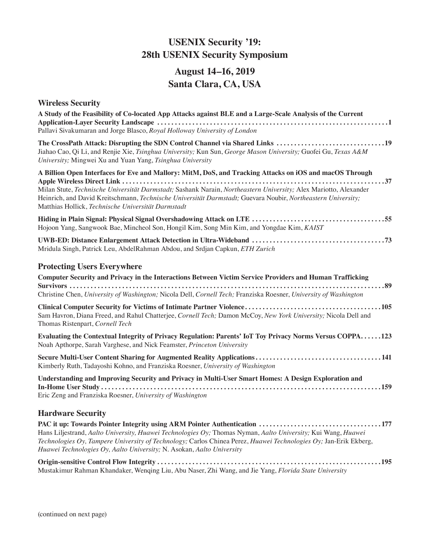# **USENIX Security '19: 28th USENIX Security Symposium**

# **August 14–16, 2019 Santa Clara, CA, USA**

## **Wireless Security**

| A Study of the Feasibility of Co-located App Attacks against BLE and a Large-Scale Analysis of the Current<br>Pallavi Sivakumaran and Jorge Blasco, Royal Holloway University of London                                                                                                                                                                                                           |
|---------------------------------------------------------------------------------------------------------------------------------------------------------------------------------------------------------------------------------------------------------------------------------------------------------------------------------------------------------------------------------------------------|
| The CrossPath Attack: Disrupting the SDN Control Channel via Shared Links 19<br>Jiahao Cao, Qi Li, and Renjie Xie, Tsinghua University; Kun Sun, George Mason University; Guofei Gu, Texas A&M<br>University; Mingwei Xu and Yuan Yang, Tsinghua University                                                                                                                                       |
| A Billion Open Interfaces for Eve and Mallory: MitM, DoS, and Tracking Attacks on iOS and macOS Through<br>Milan Stute, Technische Universität Darmstadt; Sashank Narain, Northeastern University; Alex Mariotto, Alexander<br>Heinrich, and David Kreitschmann, Technische Universität Darmstadt; Guevara Noubir, Northeastern University;<br>Matthias Hollick, Technische Universität Darmstadt |
| Hojoon Yang, Sangwook Bae, Mincheol Son, Hongil Kim, Song Min Kim, and Yongdae Kim, KAIST                                                                                                                                                                                                                                                                                                         |
| Mridula Singh, Patrick Leu, AbdelRahman Abdou, and Srdjan Capkun, ETH Zurich                                                                                                                                                                                                                                                                                                                      |
| <b>Protecting Users Everywhere</b>                                                                                                                                                                                                                                                                                                                                                                |
| Computer Security and Privacy in the Interactions Between Victim Service Providers and Human Trafficking<br>Christine Chen, University of Washington; Nicola Dell, Cornell Tech; Franziska Roesner, University of Washington                                                                                                                                                                      |
| Sam Havron, Diana Freed, and Rahul Chatterjee, Cornell Tech; Damon McCoy, New York University; Nicola Dell and<br>Thomas Ristenpart, Cornell Tech                                                                                                                                                                                                                                                 |
| Evaluating the Contextual Integrity of Privacy Regulation: Parents' IoT Toy Privacy Norms Versus COPPA123<br>Noah Apthorpe, Sarah Varghese, and Nick Feamster, Princeton University                                                                                                                                                                                                               |
| Kimberly Ruth, Tadayoshi Kohno, and Franziska Roesner, University of Washington                                                                                                                                                                                                                                                                                                                   |
| Understanding and Improving Security and Privacy in Multi-User Smart Homes: A Design Exploration and<br>Eric Zeng and Franziska Roesner, University of Washington                                                                                                                                                                                                                                 |
| <b>Hardware Security</b>                                                                                                                                                                                                                                                                                                                                                                          |
| PAC it up: Towards Pointer Integrity using ARM Pointer Authentication 177<br>Hans Liljestrand, Aalto University, Huawei Technologies Oy; Thomas Nyman, Aalto University; Kui Wang, Huawei<br>Technologies Oy, Tampere University of Technology; Carlos Chinea Perez, Huawei Technologies Oy; Jan-Erik Ekberg,<br>Huawei Technologies Oy, Aalto University; N. Asokan, Aalto University            |
|                                                                                                                                                                                                                                                                                                                                                                                                   |

Mustakimur Rahman Khandaker, Wenqing Liu, Abu Naser, Zhi Wang, and Jie Yang, *Florida State University*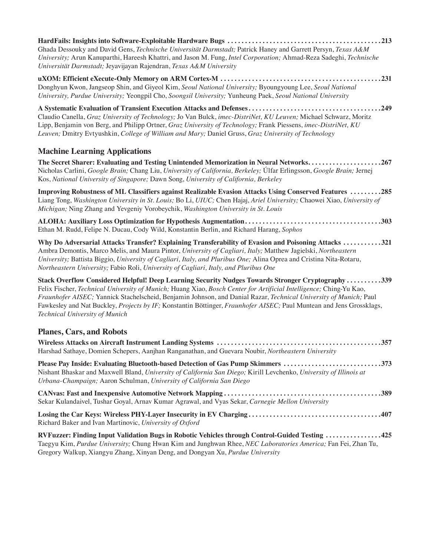| Ghada Dessouky and David Gens, Technische Universität Darmstadt; Patrick Haney and Garrett Persyn, Texas A&M<br>University; Arun Kanuparthi, Hareesh Khattri, and Jason M. Fung, Intel Corporation; Ahmad-Reza Sadeghi, Technische<br>Universität Darmstadt; Jeyavijayan Rajendran, Texas A&M University                                                                                                                                                                                               |
|--------------------------------------------------------------------------------------------------------------------------------------------------------------------------------------------------------------------------------------------------------------------------------------------------------------------------------------------------------------------------------------------------------------------------------------------------------------------------------------------------------|
| Donghyun Kwon, Jangseop Shin, and Giyeol Kim, Seoul National University; Byoungyoung Lee, Seoul National<br>University, Purdue University; Yeongpil Cho, Soongsil University; Yunheung Paek, Seoul National University                                                                                                                                                                                                                                                                                 |
| Claudio Canella, Graz University of Technology; Jo Van Bulck, imec-DistriNet, KU Leuven; Michael Schwarz, Moritz<br>Lipp, Benjamin von Berg, and Philipp Ortner, Graz University of Technology; Frank Piessens, imec-DistriNet, KU<br>Leuven; Dmitry Evtyushkin, College of William and Mary; Daniel Gruss, Graz University of Technology                                                                                                                                                              |
| <b>Machine Learning Applications</b>                                                                                                                                                                                                                                                                                                                                                                                                                                                                   |
| The Secret Sharer: Evaluating and Testing Unintended Memorization in Neural Networks267<br>Nicholas Carlini, Google Brain; Chang Liu, University of California, Berkeley; Úlfar Erlingsson, Google Brain; Jernej<br>Kos, National University of Singapore; Dawn Song, University of California, Berkeley                                                                                                                                                                                               |
| <b>Improving Robustness of ML Classifiers against Realizable Evasion Attacks Using Conserved Features 285</b><br>Liang Tong, Washington University in St. Louis; Bo Li, UIUC; Chen Hajaj, Ariel University; Chaowei Xiao, University of<br>Michigan; Ning Zhang and Yevgeniy Vorobeychik, Washington University in St. Louis                                                                                                                                                                           |
| Ethan M. Rudd, Felipe N. Ducau, Cody Wild, Konstantin Berlin, and Richard Harang, Sophos                                                                                                                                                                                                                                                                                                                                                                                                               |
| Why Do Adversarial Attacks Transfer? Explaining Transferability of Evasion and Poisoning Attacks 321<br>Ambra Demontis, Marco Melis, and Maura Pintor, University of Cagliari, Italy; Matthew Jagielski, Northeastern<br>University; Battista Biggio, University of Cagliari, Italy, and Pluribus One; Alina Oprea and Cristina Nita-Rotaru,<br>Northeastern University; Fabio Roli, University of Cagliari, Italy, and Pluribus One                                                                   |
| Stack Overflow Considered Helpful! Deep Learning Security Nudges Towards Stronger Cryptography339<br>Felix Fischer, Technical University of Munich; Huang Xiao, Bosch Center for Artificial Intelligence; Ching-Yu Kao,<br>Fraunhofer AISEC; Yannick Stachelscheid, Benjamin Johnson, and Danial Razar, Technical University of Munich; Paul<br>Fawkesley and Nat Buckley, Projects by IF; Konstantin Böttinger, Fraunhofer AISEC; Paul Muntean and Jens Grossklags,<br>Technical University of Munich |
| <b>Planes, Cars, and Robots</b>                                                                                                                                                                                                                                                                                                                                                                                                                                                                        |
| Harshad Sathaye, Domien Schepers, Aanjhan Ranganathan, and Guevara Noubir, Northeastern University                                                                                                                                                                                                                                                                                                                                                                                                     |
| Please Pay Inside: Evaluating Bluetooth-based Detection of Gas Pump Skimmers 373<br>Nishant Bhaskar and Maxwell Bland, University of California San Diego; Kirill Levchenko, University of Illinois at<br>Urbana-Champaign; Aaron Schulman, University of California San Diego                                                                                                                                                                                                                         |
| Sekar Kulandaivel, Tushar Goyal, Arnav Kumar Agrawal, and Vyas Sekar, Carnegie Mellon University                                                                                                                                                                                                                                                                                                                                                                                                       |
| Richard Baker and Ivan Martinovic, University of Oxford                                                                                                                                                                                                                                                                                                                                                                                                                                                |
| RVFuzzer: Finding Input Validation Bugs in Robotic Vehicles through Control-Guided Testing 425<br>Taegyu Kim, Purdue University; Chung Hwan Kim and Junghwan Rhee, NEC Laboratories America; Fan Fei, Zhan Tu,<br>Gregory Walkup, Xiangyu Zhang, Xinyan Deng, and Dongyan Xu, Purdue University                                                                                                                                                                                                        |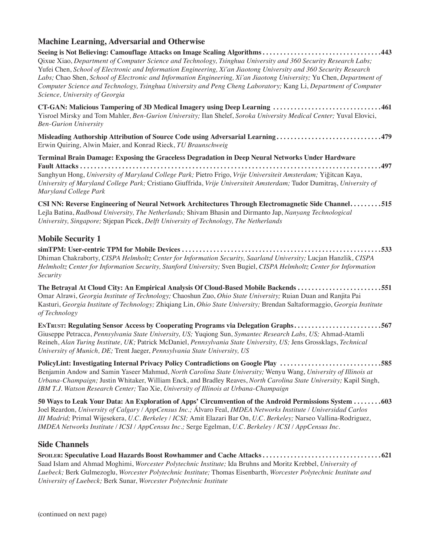### **Machine Learning, Adversarial and Otherwise**

**Seeing is Not Believing: Camouflage Attacks on Image Scaling Algorithms . . . . . . . . . . . . . . . . . . . . . . . . . . . . . . . . . 443** Qixue Xiao, *Department of Computer Science and Technology, Tsinghua University and 360 Security Research Labs;*  Yufei Chen, *School of Electronic and Information Engineering, Xi'an Jiaotong University and 360 Security Research Labs;* Chao Shen, *School of Electronic and Information Engineering, Xi'an Jiaotong University;* Yu Chen, *Department of Computer Science and Technology, Tsinghua University and Peng Cheng Laboratory;* Kang Li, *Department of Computer Science, University of Georgia*

**CT-GAN: Malicious Tampering of 3D Medical Imagery using Deep Learning . . . . . . . . . . . . . . . . . . . . . . . . . . . . . . 461** Yisroel Mirsky and Tom Mahler, *Ben-Gurion University;* Ilan Shelef, *Soroka University Medical Center;* Yuval Elovici, *Ben-Gurion University*

**Misleading Authorship Attribution of Source Code using Adversarial Learning . . . . . . . . . . . . . . . . . . . . . . . . . . . . . 479** Erwin Quiring, Alwin Maier, and Konrad Rieck, *TU Braunschweig*

**Terminal Brain Damage: Exposing the Graceless Degradation in Deep Neural Networks Under Hardware Fault Attacks . . . . . . . . . . . . . . . . . . . . . . . . . . . . . . . . . . . . . . . . . . . . . . . . . . . . . . . . . . . . . . . . . . . . . . . . . . . . . . . . . . . . . 497** Sanghyun Hong, *University of Maryland College Park;* Pietro Frigo, *Vrije Universiteit Amsterdam;* Yiğitcan Kaya, *University of Maryland College Park;* Cristiano Giuffrida, *Vrije Universiteit Amsterdam;* Tudor Dumitraș, *University of Maryland College Park*

**CSI NN: Reverse Engineering of Neural Network Architectures Through Electromagnetic Side Channel . . . . . . . . 515** Lejla Batina, *Radboud University, The Netherlands;* Shivam Bhasin and Dirmanto Jap, *Nanyang Technological University, Singapore;* Stjepan Picek, *Delft University of Technology, The Netherlands*

### **Mobile Security 1**

**simTPM: User-centric TPM for Mobile Devices . . . . . . . . . . . . . . . . . . . . . . . . . . . . . . . . . . . . . . . . . . . . . . . . . . . . . . . . 533** Dhiman Chakraborty, *CISPA Helmholtz Center for Information Security, Saarland University;* Lucjan Hanzlik, *CISPA Helmholtz Center for Information Security, Stanford University;* Sven Bugiel, *CISPA Helmholtz Center for Information Security*

**The Betrayal At Cloud City: An Empirical Analysis Of Cloud-Based Mobile Backends . . . . . . . . . . . . . . . . . . . . . . . 551** Omar Alrawi, *Georgia Institute of Technology;* Chaoshun Zuo, *Ohio State University;* Ruian Duan and Ranjita Pai Kasturi, *Georgia Institute of Technology;* Zhiqiang Lin, *Ohio State University;* Brendan Saltaformaggio, *Georgia Institute of Technology*

**EnTrust: Regulating Sensor Access by Cooperating Programs via Delegation Graphs . . . . . . . . . . . . . . . . . . . . . . . . 567** Giuseppe Petracca, *Pennsylvania State University, US;* Yuqiong Sun, *Symantec Research Labs, US;* Ahmad-Atamli Reineh, *Alan Turing Institute, UK;* Patrick McDaniel, *Pennsylvania State University, US;* Jens Grossklags, *Technical University of Munich, DE;* Trent Jaeger, *Pennsylvania State University, US*

**PolicyLint: Investigating Internal Privacy Policy Contradictions on Google Play . . . . . . . . . . . . . . . . . . . . . . . . . . . . 585** Benjamin Andow and Samin Yaseer Mahmud, *North Carolina State University;* Wenyu Wang, *University of Illinois at Urbana-Champaign;* Justin Whitaker, William Enck, and Bradley Reaves, *North Carolina State University;* Kapil Singh, *IBM T.J. Watson Research Center;* Tao Xie, *University of Illinois at Urbana-Champaign*

**50 Ways to Leak Your Data: An Exploration of Apps' Circumvention of the Android Permissions System . . . . . . . 603** Joel Reardon, *University of Calgary / AppCensus Inc.;* Álvaro Feal, *IMDEA Networks Institute / Universidad Carlos III Madrid;* Primal Wijesekera, *U.C. Berkeley / ICSI;* Amit Elazari Bar On, *U.C. Berkeley;* Narseo Vallina-Rodriguez, *IMDEA Networks Institute / ICSI / AppCensus Inc.;* Serge Egelman, *U.C. Berkeley / ICSI / AppCensus Inc.*

### **Side Channels**

**Spoiler: Speculative Load Hazards Boost Rowhammer and Cache Attacks . . . . . . . . . . . . . . . . . . . . . . . . . . . . . . . . . 621** Saad Islam and Ahmad Moghimi, *Worcester Polytechnic Institute;* Ida Bruhns and Moritz Krebbel, *University of Luebeck;* Berk Gulmezoglu, *Worcester Polytechnic Institute;* Thomas Eisenbarth, *Worcester Polytechnic Institute and University of Luebeck;* Berk Sunar, *Worcester Polytechnic Institute*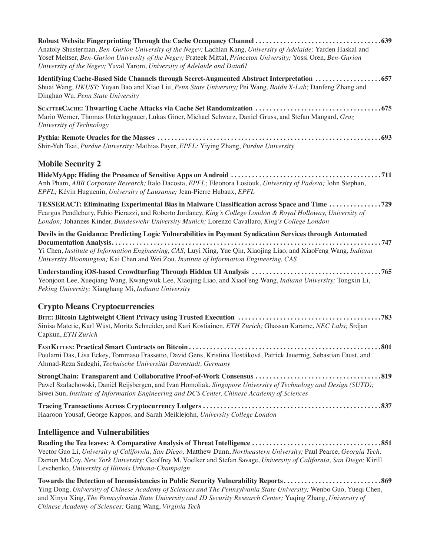| Anatoly Shusterman, Ben-Gurion University of the Negev; Lachlan Kang, University of Adelaide; Yarden Haskal and<br>Yosef Meltser, Ben-Gurion University of the Negev; Prateek Mittal, Princeton University; Yossi Oren, Ben-Gurion<br>University of the Negev; Yuval Yarom, University of Adelaide and Data61              |  |
|----------------------------------------------------------------------------------------------------------------------------------------------------------------------------------------------------------------------------------------------------------------------------------------------------------------------------|--|
| Identifying Cache-Based Side Channels through Secret-Augmented Abstract Interpretation 657<br>Shuai Wang, HKUST; Yuyan Bao and Xiao Liu, Penn State University; Pei Wang, Baidu X-Lab; Danfeng Zhang and<br>Dinghao Wu, Penn State University                                                                              |  |
| Mario Werner, Thomas Unterluggauer, Lukas Giner, Michael Schwarz, Daniel Gruss, and Stefan Mangard, Graz<br>University of Technology                                                                                                                                                                                       |  |
| Shin-Yeh Tsai, Purdue University; Mathias Payer, EPFL; Yiying Zhang, Purdue University                                                                                                                                                                                                                                     |  |
| <b>Mobile Security 2</b>                                                                                                                                                                                                                                                                                                   |  |
| Anh Pham, ABB Corporate Research; Italo Dacosta, EPFL; Eleonora Losiouk, University of Padova; John Stephan,<br>EPFL; Kévin Huguenin, University of Lausanne; Jean-Pierre Hubaux, EPFL                                                                                                                                     |  |
| TESSERACT: Eliminating Experimental Bias in Malware Classification across Space and Time 729<br>Feargus Pendlebury, Fabio Pierazzi, and Roberto Jordaney, King's College London & Royal Holloway, University of<br>London; Johannes Kinder, Bundeswehr University Munich; Lorenzo Cavallaro, King's College London         |  |
| Devils in the Guidance: Predicting Logic Vulnerabilities in Payment Syndication Services through Automated<br>Yi Chen, Institute of Information Engineering, CAS; Luyi Xing, Yue Qin, Xiaojing Liao, and XiaoFeng Wang, Indiana<br>University Bloomington; Kai Chen and Wei Zou, Institute of Information Engineering, CAS |  |
| Yeonjoon Lee, Xueqiang Wang, Kwangwuk Lee, Xiaojing Liao, and XiaoFeng Wang, Indiana University; Tongxin Li,<br>Peking University; Xianghang Mi, Indiana University                                                                                                                                                        |  |
| <b>Crypto Means Cryptocurrencies</b>                                                                                                                                                                                                                                                                                       |  |
| Sinisa Matetic, Karl Wüst, Moritz Schneider, and Kari Kostiainen, ETH Zurich; Ghassan Karame, NEC Labs; Srdjan<br>Capkun, ETH Zurich                                                                                                                                                                                       |  |
| .801<br>Poulami Das, Lisa Eckey, Tommaso Frassetto, David Gens, Kristina Hostáková, Patrick Jauernig, Sebastian Faust, and<br>Ahmad-Reza Sadeghi, Technische Universität Darmstadt, Germany                                                                                                                                |  |
| Pawel Szalachowski, Daniël Reijsbergen, and Ivan Homoliak, Singapore University of Technology and Design (SUTD);<br>Siwei Sun, Institute of Information Engineering and DCS Center, Chinese Academy of Sciences                                                                                                            |  |
| Haaroon Yousaf, George Kappos, and Sarah Meiklejohn, University College London                                                                                                                                                                                                                                             |  |
| <b>Intelligence and Vulnerabilities</b>                                                                                                                                                                                                                                                                                    |  |
|                                                                                                                                                                                                                                                                                                                            |  |

**Reading the Tea leaves: A Comparative Analysis of Threat Intelligence . . . . . . . . . . . . . . . . . . . . . . . . . . . . . . . . . . . . 851** Vector Guo Li, *University of California, San Diego;* Matthew Dunn, *Northeastern University;* Paul Pearce, *Georgia Tech;*  Damon McCoy, *New York University;* Geoffrey M. Voelker and Stefan Savage, *University of California, San Diego;* Kirill Levchenko, *University of Illinois Urbana-Champaign*

**Towards the Detection of Inconsistencies in Public Security Vulnerability Reports . . . . . . . . . . . . . . . . . . . . . . . . . . . 869** Ying Dong, *University of Chinese Academy of Sciences and The Pennsylvania State University;* Wenbo Guo, Yueqi Chen, and Xinyu Xing, *The Pennsylvania State University and JD Security Research Center;* Yuqing Zhang, *University of Chinese Academy of Sciences;* Gang Wang, *Virginia Tech*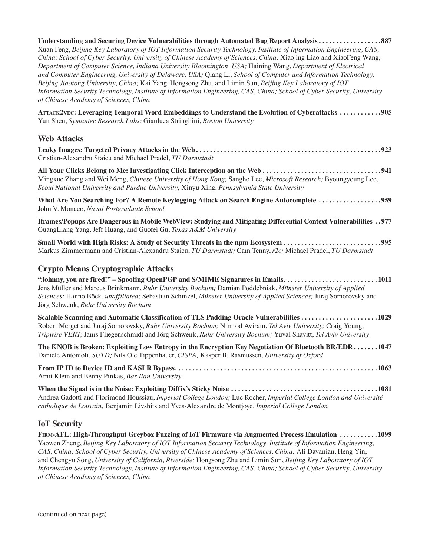| Understanding and Securing Device Vulnerabilities through Automated Bug Report Analysis887<br>Xuan Feng, Beijing Key Laboratory of IOT Information Security Technology, Institute of Information Engineering, CAS,<br>China; School of Cyber Security, University of Chinese Academy of Sciences, China; Xiaojing Liao and XiaoFeng Wang,<br>Department of Computer Science, Indiana University Bloomington, USA; Haining Wang, Department of Electrical<br>and Computer Engineering, University of Delaware, USA; Qiang Li, School of Computer and Information Technology,<br>Beijing Jiaotong University, China; Kai Yang, Hongsong Zhu, and Limin Sun, Beijing Key Laboratory of IOT<br>Information Security Technology, Institute of Information Engineering, CAS, China; School of Cyber Security, University<br>of Chinese Academy of Sciences, China |
|-------------------------------------------------------------------------------------------------------------------------------------------------------------------------------------------------------------------------------------------------------------------------------------------------------------------------------------------------------------------------------------------------------------------------------------------------------------------------------------------------------------------------------------------------------------------------------------------------------------------------------------------------------------------------------------------------------------------------------------------------------------------------------------------------------------------------------------------------------------|
| ATTACK2VEC: Leveraging Temporal Word Embeddings to Understand the Evolution of Cyberattacks 905<br>Yun Shen, Symantec Research Labs; Gianluca Stringhini, Boston University                                                                                                                                                                                                                                                                                                                                                                                                                                                                                                                                                                                                                                                                                 |
| <b>Web Attacks</b>                                                                                                                                                                                                                                                                                                                                                                                                                                                                                                                                                                                                                                                                                                                                                                                                                                          |
| Cristian-Alexandru Staicu and Michael Pradel, TU Darmstadt                                                                                                                                                                                                                                                                                                                                                                                                                                                                                                                                                                                                                                                                                                                                                                                                  |
| Mingxue Zhang and Wei Meng, Chinese University of Hong Kong; Sangho Lee, Microsoft Research; Byoungyoung Lee,<br>Seoul National University and Purdue University; Xinyu Xing, Pennsylvania State University                                                                                                                                                                                                                                                                                                                                                                                                                                                                                                                                                                                                                                                 |
| What Are You Searching For? A Remote Keylogging Attack on Search Engine Autocomplete 959<br>John V. Monaco, Naval Postgraduate School                                                                                                                                                                                                                                                                                                                                                                                                                                                                                                                                                                                                                                                                                                                       |
| 177. Iframes/Popups Are Dangerous in Mobile WebView: Studying and Mitigating Differential Context Vulnerabilities.<br>GuangLiang Yang, Jeff Huang, and Guofei Gu, Texas A&M University                                                                                                                                                                                                                                                                                                                                                                                                                                                                                                                                                                                                                                                                      |
| Small World with High Risks: A Study of Security Threats in the npm Ecosystem 995<br>Markus Zimmermann and Cristian-Alexandru Staicu, TU Darmstadt; Cam Tenny, r2c; Michael Pradel, TU Darmstadt                                                                                                                                                                                                                                                                                                                                                                                                                                                                                                                                                                                                                                                            |
| <b>Crypto Means Cryptographic Attacks</b>                                                                                                                                                                                                                                                                                                                                                                                                                                                                                                                                                                                                                                                                                                                                                                                                                   |
| "Johnny, you are fired!" - Spoofing OpenPGP and S/MIME Signatures in Emails1011<br>Jens Müller and Marcus Brinkmann, Ruhr University Bochum; Damian Poddebniak, Münster University of Applied<br>Sciences; Hanno Böck, unaffiliated; Sebastian Schinzel, Münster University of Applied Sciences; Juraj Somorovsky and<br>Jörg Schwenk, Ruhr University Bochum                                                                                                                                                                                                                                                                                                                                                                                                                                                                                               |
| Scalable Scanning and Automatic Classification of TLS Padding Oracle Vulnerabilities 1029<br>Robert Merget and Juraj Somorovsky, Ruhr University Bochum; Nimrod Aviram, Tel Aviv University; Craig Young,<br>Tripwire VERT; Janis Fliegenschmidt and Jörg Schwenk, Ruhr University Bochum; Yuval Shavitt, Tel Aviv University                                                                                                                                                                                                                                                                                                                                                                                                                                                                                                                               |
| The KNOB is Broken: Exploiting Low Entropy in the Encryption Key Negotiation Of Bluetooth BR/EDR1047<br>Daniele Antonioli, SUTD; Nils Ole Tippenhauer, CISPA; Kasper B. Rasmussen, University of Oxford                                                                                                                                                                                                                                                                                                                                                                                                                                                                                                                                                                                                                                                     |
| Amit Klein and Benny Pinkas, Bar Ilan University                                                                                                                                                                                                                                                                                                                                                                                                                                                                                                                                                                                                                                                                                                                                                                                                            |
| Andrea Gadotti and Florimond Houssiau, Imperial College London; Luc Rocher, Imperial College London and Université<br>catholique de Louvain; Benjamin Livshits and Yves-Alexandre de Montjoye, Imperial College London                                                                                                                                                                                                                                                                                                                                                                                                                                                                                                                                                                                                                                      |

## **IoT Security**

| FIRM-AFL: High-Throughput Greybox Fuzzing of IoT Firmware via Augmented Process Emulation 1099                          |
|-------------------------------------------------------------------------------------------------------------------------|
| Yaowen Zheng, Beijing Key Laboratory of IOT Information Security Technology, Institute of Information Engineering,      |
| CAS, China; School of Cyber Security, University of Chinese Academy of Sciences, China; Ali Davanian, Heng Yin,         |
| and Chengyu Song, University of California, Riverside; Hongsong Zhu and Limin Sun, Beijing Key Laboratory of IOT        |
| Information Security Technology, Institute of Information Engineering, CAS, China; School of Cyber Security, University |
| of Chinese Academy of Sciences, China                                                                                   |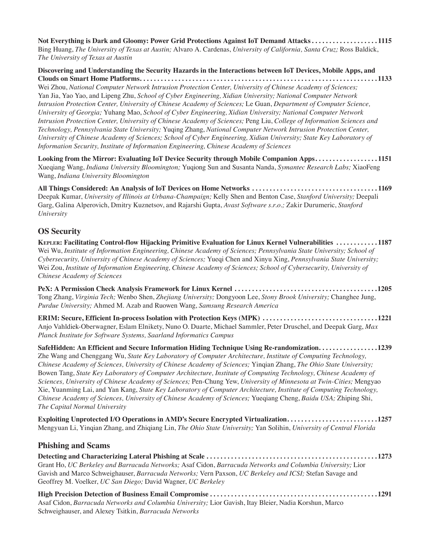**Not Everything is Dark and Gloomy: Power Grid Protections Against IoT Demand Attacks . . . . . . . . . . . . . . . . . . 1115** Bing Huang, *The University of Texas at Austin;* Alvaro A. Cardenas, *University of California, Santa Cruz;* Ross Baldick, *The University of Texas at Austin*

**Discovering and Understanding the Security Hazards in the Interactions between IoT Devices, Mobile Apps, and Clouds on Smart Home Platforms . . . . . . . . . . . . . . . . . . . . . . . . . . . . . . . . . . . . . . . . . . . . . . . . . . . . . . . . . . . . . . . . . . . 1133** Wei Zhou, *National Computer Network Intrusion Protection Center, University of Chinese Academy of Sciences;*  Yan Jia, Yao Yao, and Lipeng Zhu, *School of Cyber Engineering, Xidian University; National Computer Network* 

*Intrusion Protection Center, University of Chinese Academy of Sciences;* Le Guan, *Department of Computer Science, University of Georgia;* Yuhang Mao, *School of Cyber Engineering, Xidian University; National Computer Network Intrusion Protection Center, University of Chinese Academy of Sciences;* Peng Liu, *College of Information Sciences and Technology, Pennsylvania State University;* Yuqing Zhang, *National Computer Network Intrusion Protection Center, University of Chinese Academy of Sciences; School of Cyber Engineering, Xidian University; State Key Laboratory of Information Security, Institute of Information Engineering, Chinese Academy of Sciences*

**Looking from the Mirror: Evaluating IoT Device Security through Mobile Companion Apps . . . . . . . . . . . . . . . . . 1151** Xueqiang Wang, *Indiana University Bloomington;* Yuqiong Sun and Susanta Nanda, *Symantec Research Labs;* XiaoFeng Wang, *Indiana University Bloomington*

**All Things Considered: An Analysis of IoT Devices on Home Networks . . . . . . . . . . . . . . . . . . . . . . . . . . . . . . . . . . . 1169** Deepak Kumar, *University of Illinois at Urbana-Champaign;* Kelly Shen and Benton Case, *Stanford University;* Deepali Garg, Galina Alperovich, Dmitry Kuznetsov, and Rajarshi Gupta, *Avast Software s.r.o.;* Zakir Durumeric, *Stanford University*

### **OS Security**

**Kepler: Facilitating Control-flow Hijacking Primitive Evaluation for Linux Kernel Vulnerabilities . . . . . . . . . . . 1187** Wei Wu, *Institute of Information Engineering, Chinese Academy of Sciences; Pennsylvania State University; School of Cybersecurity, University of Chinese Academy of Sciences;* Yueqi Chen and Xinyu Xing, *Pennsylvania State University;*  Wei Zou, *Institute of Information Engineering, Chinese Academy of Sciences; School of Cybersecurity, University of Chinese Academy of Sciences*

**PeX: A Permission Check Analysis Framework for Linux Kernel . . . . . . . . . . . . . . . . . . . . . . . . . . . . . . . . . . . . . . . . 1205** Tong Zhang, *Virginia Tech;* Wenbo Shen, *Zhejiang University;* Dongyoon Lee, *Stony Brook University;* Changhee Jung, *Purdue University;* Ahmed M. Azab and Ruowen Wang, *Samsung Research America*

**ERIM: Secure, Efficient In-process Isolation with Protection Keys (MPK) . . . . . . . . . . . . . . . . . . . . . . . . . . . . . . . . 1221** Anjo Vahldiek-Oberwagner, Eslam Elnikety, Nuno O. Duarte, Michael Sammler, Peter Druschel, and Deepak Garg, *Max Planck Institute for Software Systems, Saarland Informatics Campus*

**SafeHidden: An Efficient and Secure Information Hiding Technique Using Re-randomization................. 1239** Zhe Wang and Chenggang Wu, *State Key Laboratory of Computer Architecture, Institute of Computing Technology, Chinese Academy of Sciences, University of Chinese Academy of Sciences;* Yinqian Zhang, *The Ohio State University;*  Bowen Tang, *State Key Laboratory of Computer Architecture, Institute of Computing Technology, Chinese Academy of Sciences, University of Chinese Academy of Sciences;* Pen-Chung Yew, *University of Minnesota at Twin-Cities;* Mengyao Xie, Yuanming Lai, and Yan Kang, *State Key Laboratory of Computer Architecture, Institute of Computing Technology, Chinese Academy of Sciences, University of Chinese Academy of Sciences;* Yueqiang Cheng, *Baidu USA;* Zhiping Shi, *The Capital Normal University*

**Exploiting Unprotected I/O Operations in AMD's Secure Encrypted Virtualization . . . . . . . . . . . . . . . . . . . . . . . . . 1257** Mengyuan Li, Yinqian Zhang, and Zhiqiang Lin, *The Ohio State University;* Yan Solihin, *University of Central Florida*

### **Phishing and Scams**

**Detecting and Characterizing Lateral Phishing at Scale . . . . . . . . . . . . . . . . . . . . . . . . . . . . . . . . . . . . . . . . . . . . . . . . 1273** Grant Ho, *UC Berkeley and Barracuda Networks;* Asaf Cidon, *Barracuda Networks and Columbia University;* Lior Gavish and Marco Schweighauser, *Barracuda Networks;* Vern Paxson, *UC Berkeley and ICSI;* Stefan Savage and Geoffrey M. Voelker, *UC San Diego;* David Wagner, *UC Berkeley*

**High Precision Detection of Business Email Compromise . . . . . . . . . . . . . . . . . . . . . . . . . . . . . . . . . . . . . . . . . . . . . . . 1291** Asaf Cidon, *Barracuda Networks and Columbia University;* Lior Gavish, Itay Bleier, Nadia Korshun, Marco Schweighauser, and Alexey Tsitkin, *Barracuda Networks*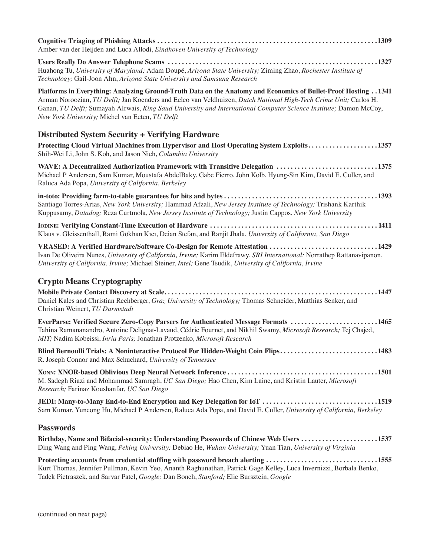| Amber van der Heijden and Luca Allodi, Eindhoven University of Technology                                                                                                                                                                                                                                                                                                                                        |
|------------------------------------------------------------------------------------------------------------------------------------------------------------------------------------------------------------------------------------------------------------------------------------------------------------------------------------------------------------------------------------------------------------------|
| Huahong Tu, University of Maryland; Adam Doupé, Arizona State University; Ziming Zhao, Rochester Institute of<br>Technology; Gail-Joon Ahn, Arizona State University and Samsung Research                                                                                                                                                                                                                        |
| 1341. Platforms in Everything: Analyzing Ground-Truth Data on the Anatomy and Economics of Bullet-Proof Hosting 1341<br>Arman Noroozian, TU Delft; Jan Koenders and Eelco van Veldhuizen, Dutch National High-Tech Crime Unit; Carlos H.<br>Ganan, TU Delft; Sumayah Alrwais, King Saud University and International Computer Science Institute; Damon McCoy,<br>New York University; Michel van Eeten, TU Delft |
| <b>Distributed System Security + Verifying Hardware</b>                                                                                                                                                                                                                                                                                                                                                          |
| Protecting Cloud Virtual Machines from Hypervisor and Host Operating System Exploits1357<br>Shih-Wei Li, John S. Koh, and Jason Nieh, Columbia University                                                                                                                                                                                                                                                        |
| WAVE: A Decentralized Authorization Framework with Transitive Delegation 1375<br>Michael P Andersen, Sam Kumar, Moustafa AbdelBaky, Gabe Fierro, John Kolb, Hyung-Sin Kim, David E. Culler, and<br>Raluca Ada Popa, University of California, Berkeley                                                                                                                                                           |
| Santiago Torres-Arias, New York University; Hammad Afzali, New Jersey Institute of Technology; Trishank Karthik<br>Kuppusamy, Datadog; Reza Curtmola, New Jersey Institute of Technology; Justin Cappos, New York University                                                                                                                                                                                     |
| Klaus v. Gleissenthall, Rami Gökhan Kıcı, Deian Stefan, and Ranjit Jhala, University of California, San Diego                                                                                                                                                                                                                                                                                                    |
| VRASED: A Verified Hardware/Software Co-Design for Remote Attestation 1429<br>Ivan De Oliveira Nunes, University of California, Irvine; Karim Eldefrawy, SRI International; Norrathep Rattanavipanon,<br>University of California, Irvine; Michael Steiner, Intel; Gene Tsudik, University of California, Irvine                                                                                                 |
| <b>Crypto Means Cryptography</b>                                                                                                                                                                                                                                                                                                                                                                                 |
| Daniel Kales and Christian Rechberger, Graz University of Technology; Thomas Schneider, Matthias Senker, and<br>Christian Weinert, TU Darmstadt                                                                                                                                                                                                                                                                  |
| EverParse: Verified Secure Zero-Copy Parsers for Authenticated Message Formats 1465<br>Tahina Ramananandro, Antoine Delignat-Lavaud, Cédric Fournet, and Nikhil Swamy, Microsoft Research; Tej Chajed,<br>MIT; Nadim Kobeissi, Inria Paris; Jonathan Protzenko, Microsoft Research                                                                                                                               |
| Blind Bernoulli Trials: A Noninteractive Protocol For Hidden-Weight Coin Flips1483<br>R. Joseph Connor and Max Schuchard, University of Tennessee                                                                                                                                                                                                                                                                |
| M. Sadegh Riazi and Mohammad Samragh, UC San Diego; Hao Chen, Kim Laine, and Kristin Lauter, Microsoft<br>Research; Farinaz Koushanfar, UC San Diego                                                                                                                                                                                                                                                             |
| JEDI: Many-to-Many End-to-End Encryption and Key Delegation for IoT 1519<br>Sam Kumar, Yuncong Hu, Michael P Andersen, Raluca Ada Popa, and David E. Culler, University of California, Berkeley                                                                                                                                                                                                                  |
| <b>Passwords</b>                                                                                                                                                                                                                                                                                                                                                                                                 |
| Birthday, Name and Bifacial-security: Understanding Passwords of Chinese Web Users 1537<br>Ding Wang and Ping Wang, Peking University; Debiao He, Wuhan University; Yuan Tian, University of Virginia                                                                                                                                                                                                            |
| Protecting accounts from credential stuffing with password breach alerting 1555<br>Kurt Thomas, Jennifer Pullman, Kevin Yeo, Ananth Raghunathan, Patrick Gage Kelley, Luca Invernizzi, Borbala Benko,<br>Tadek Pietraszek, and Sarvar Patel, Google; Dan Boneh, Stanford; Elie Bursztein, Google                                                                                                                 |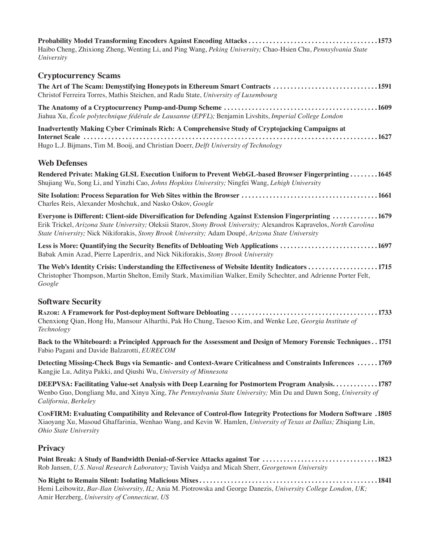**Probability Model Transforming Encoders Against Encoding Attacks . . . . . . . . . . . . . . . . . . . . . . . . . . . . . . . . . . . . 1573** Haibo Cheng, Zhixiong Zheng, Wenting Li, and Ping Wang, *Peking University;* Chao-Hsien Chu, *Pennsylvania State University*

### **Cryptocurrency Scams**

| The Art of The Scam: Demystifying Honeypots in Ethereum Smart Contracts 1591<br>Christof Ferreira Torres, Mathis Steichen, and Radu State, University of Luxembourg                                                                                                                                                                 |  |
|-------------------------------------------------------------------------------------------------------------------------------------------------------------------------------------------------------------------------------------------------------------------------------------------------------------------------------------|--|
| Jiahua Xu, École polytechnique fédérale de Lausanne (EPFL); Benjamin Livshits, Imperial College London                                                                                                                                                                                                                              |  |
| Inadvertently Making Cyber Criminals Rich: A Comprehensive Study of Cryptojacking Campaigns at<br>Hugo L.J. Bijmans, Tim M. Booij, and Christian Doerr, Delft University of Technology                                                                                                                                              |  |
| <b>Web Defenses</b>                                                                                                                                                                                                                                                                                                                 |  |
| Rendered Private: Making GLSL Execution Uniform to Prevent WebGL-based Browser Fingerprinting1645<br>Shujiang Wu, Song Li, and Yinzhi Cao, Johns Hopkins University; Ningfei Wang, Lehigh University                                                                                                                                |  |
| Charles Reis, Alexander Moshchuk, and Nasko Oskov, Google                                                                                                                                                                                                                                                                           |  |
| Everyone is Different: Client-side Diversification for Defending Against Extension Fingerprinting 1679<br>Erik Trickel, Arizona State University; Oleksii Starov, Stony Brook University; Alexandros Kapravelos, North Carolina<br>State University; Nick Nikiforakis, Stony Brook University; Adam Doupé, Arizona State University |  |
| Less is More: Quantifying the Security Benefits of Debloating Web Applications 1697<br>Babak Amin Azad, Pierre Laperdrix, and Nick Nikiforakis, Stony Brook University                                                                                                                                                              |  |
| The Web's Identity Crisis: Understanding the Effectiveness of Website Identity Indicators 1715                                                                                                                                                                                                                                      |  |

Christopher Thompson, Martin Shelton, Emily Stark, Maximilian Walker, Emily Schechter, and Adrienne Porter Felt, *Google*

### **Software Security**

**Razor: A Framework for Post-deployment Software Debloating . . . . . . . . . . . . . . . . . . . . . . . . . . . . . . . . . . . . . . . . . 1733** Chenxiong Qian, Hong Hu, Mansour Alharthi, Pak Ho Chung, Taesoo Kim, and Wenke Lee, *Georgia Institute of Technology*

**Back to the Whiteboard: a Principled Approach for the Assessment and Design of Memory Forensic Techniques . . 1751** Fabio Pagani and Davide Balzarotti, *EURECOM*

**Detecting Missing-Check Bugs via Semantic- and Context-Aware Criticalness and Constraints Inferences . . . . . 1769** Kangjie Lu, Aditya Pakki, and Qiushi Wu, *University of Minnesota*

**DEEPVSA: Facilitating Value-set Analysis with Deep Learning for Postmortem Program Analysis............. 1787** Wenbo Guo, Dongliang Mu, and Xinyu Xing, *The Pennsylvania State University;* Min Du and Dawn Song, *University of California, Berkeley*

**ConFIRM: Evaluating Compatibility and Relevance of Control-flow Integrity Protections for Modern Software. 1805** Xiaoyang Xu, Masoud Ghaffarinia, Wenhao Wang, and Kevin W. Hamlen, *University of Texas at Dallas;* Zhiqiang Lin, *Ohio State University*

### **Privacy**

| Point Break: A Study of Bandwidth Denial-of-Service Attacks against Tor 1823                     |  |
|--------------------------------------------------------------------------------------------------|--|
| Rob Jansen, U.S. Naval Research Laboratory; Tavish Vaidya and Micah Sherr, Georgetown University |  |

**No Right to Remain Silent: Isolating Malicious Mixes . . . . . . . . . . . . . . . . . . . . . . . . . . . . . . . . . . . . . . . . . . . . . . . . . . 1841** Hemi Leibowitz, *Bar-Ilan University, IL;* Ania M. Piotrowska and George Danezis, *University College London, UK;*  Amir Herzberg, *University of Connecticut, US*